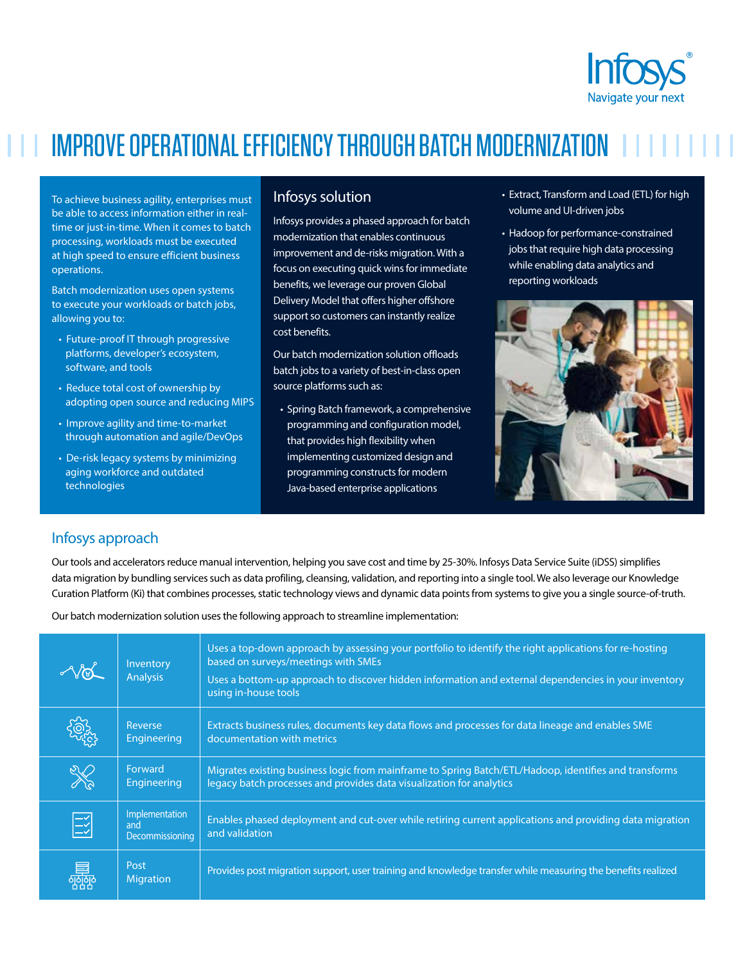

# IMPROVE OPERATIONAL EFFICIENCY THROUGH BATCH MODERNIZATION

To achieve business agility, enterprises must be able to access information either in realtime or just-in-time. When it comes to batch processing, workloads must be executed at high speed to ensure efficient business operations.

Batch modernization uses open systems to execute your workloads or batch jobs, allowing you to:

- Future-proof IT through progressive platforms, developer's ecosystem, software, and tools
- Reduce total cost of ownership by adopting open source and reducing MIPS
- Improve agility and time-to-market through automation and agile/DevOps
- De-risk legacy systems by minimizing aging workforce and outdated technologies

## Infosys solution

Infosys provides a phased approach for batch modernization that enables continuous improvement and de-risks migration. With a focus on executing quick wins for immediate benefits, we leverage our proven Global Delivery Model that offers higher offshore support so customers can instantly realize cost benefits.

Our batch modernization solution offloads batch jobs to a variety of best-in-class open source platforms such as:

• Spring Batch framework, a comprehensive programming and configuration model, that provides high flexibility when implementing customized design and programming constructs for modern Java-based enterprise applications

- Extract, Transform and Load (ETL) for high volume and UI-driven jobs
- Hadoop for performance-constrained jobs that require high data processing while enabling data analytics and reporting workloads



## Infosys approach

Our tools and accelerators reduce manual intervention, helping you save cost and time by 25-30%. Infosys Data Service Suite (iDSS) simplifies data migration by bundling services such as data profiling, cleansing, validation, and reporting into a single tool. We also leverage our Knowledge Curation Platform (Ki) that combines processes, static technology views and dynamic data points from systems to give you a single source-of-truth.

Our batch modernization solution uses the following approach to streamline implementation:

| $\sqrt[3]{6}$ | Inventory<br><b>Analysis</b>             | Uses a top-down approach by assessing your portfolio to identify the right applications for re-hosting<br>based on surveys/meetings with SMEs<br>Uses a bottom-up approach to discover hidden information and external dependencies in your inventory<br>using in-house tools |
|---------------|------------------------------------------|-------------------------------------------------------------------------------------------------------------------------------------------------------------------------------------------------------------------------------------------------------------------------------|
|               | Reverse<br>Engineering                   | Extracts business rules, documents key data flows and processes for data lineage and enables SME<br>documentation with metrics                                                                                                                                                |
|               | Forward<br>Engineering                   | Migrates existing business logic from mainframe to Spring Batch/ETL/Hadoop, identifies and transforms<br>legacy batch processes and provides data visualization for analytics                                                                                                 |
| 巨             | Implementation<br>and<br>Decommissioning | Enables phased deployment and cut-over while retiring current applications and providing data migration<br>and validation                                                                                                                                                     |
|               | Post<br><b>Migration</b>                 | Provides post migration support, user training and knowledge transfer while measuring the benefits realized                                                                                                                                                                   |